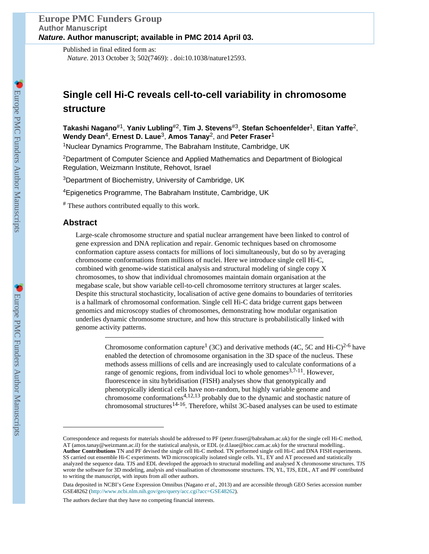Published in final edited form as: *Nature*. 2013 October 3; 502(7469): . doi:10.1038/nature12593.

# **Single cell Hi-C reveals cell-to-cell variability in chromosome structure**

**Takashi Nagano**#1, **Yaniv Lubling**#2, **Tim J. Stevens**#3, **Stefan Schoenfelder**1, **Eitan Yaffe**2, **Wendy Dean**4, **Ernest D. Laue**3, **Amos Tanay**2, and **Peter Fraser**<sup>1</sup>

<sup>1</sup>Nuclear Dynamics Programme, The Babraham Institute, Cambridge, UK

<sup>2</sup>Department of Computer Science and Applied Mathematics and Department of Biological Regulation, Weizmann Institute, Rehovot, Israel

<sup>3</sup>Department of Biochemistry, University of Cambridge, UK

<sup>4</sup>Epigenetics Programme, The Babraham Institute, Cambridge, UK

# These authors contributed equally to this work.

# **Abstract**

Large-scale chromosome structure and spatial nuclear arrangement have been linked to control of gene expression and DNA replication and repair. Genomic techniques based on chromosome conformation capture assess contacts for millions of loci simultaneously, but do so by averaging chromosome conformations from millions of nuclei. Here we introduce single cell Hi-C, combined with genome-wide statistical analysis and structural modeling of single copy X chromosomes, to show that individual chromosomes maintain domain organisation at the megabase scale, but show variable cell-to-cell chromosome territory structures at larger scales. Despite this structural stochasticity, localisation of active gene domains to boundaries of territories is a hallmark of chromosomal conformation. Single cell Hi-C data bridge current gaps between genomics and microscopy studies of chromosomes, demonstrating how modular organisation underlies dynamic chromosome structure, and how this structure is probabilistically linked with genome activity patterns.

> Chromosome conformation capture<sup>1</sup> (3C) and derivative methods (4C, 5C and Hi-C)<sup>2-6</sup> have enabled the detection of chromosome organisation in the 3D space of the nucleus. These methods assess millions of cells and are increasingly used to calculate conformations of a range of genomic regions, from individual loci to whole genomes  $3,7-11$ . However, fluorescence in situ hybridisation (FISH) analyses show that genotypically and phenotypically identical cells have non-random, but highly variable genome and chromosome conformations4,12,13 probably due to the dynamic and stochastic nature of chromosomal structures<sup>14-16</sup>. Therefore, whilst 3C-based analyses can be used to estimate

The authors declare that they have no competing financial interests.

Correspondence and requests for materials should be addressed to PF (peter.fraser@babraham.ac.uk) for the single cell Hi-C method, AT (amos.tanay@weizmann.ac.il) for the statistical analysis, or EDL (e.d.laue@bioc.cam.ac.uk) for the structural modelling.. **Author Contributions** TN and PF devised the single cell Hi-C method. TN performed single cell Hi-C and DNA FISH experiments. SS carried out ensemble Hi-C experiments. WD microscopically isolated single cells. YL, EY and AT processed and statistically analyzed the sequence data. TJS and EDL developed the approach to structural modelling and analysed X chromosome structures. TJS wrote the software for 3D modeling, analysis and visualisation of chromosome structures. TN, YL, TJS, EDL, AT and PF contributed to writing the manuscript, with inputs from all other authors.

Data deposited in NCBI's Gene Expression Omnibus (Nagano *et al*., 2013) and are accessible through GEO Series accession number GSE48262 (<http://www.ncbi.nlm.nih.gov/geo/query/acc.cgi?acc=GSE48262>).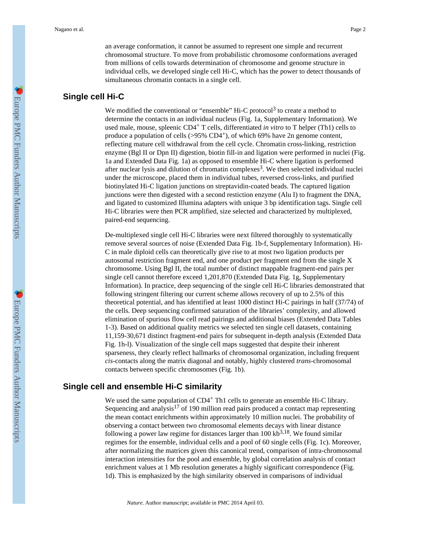an average conformation, it cannot be assumed to represent one simple and recurrent chromosomal structure. To move from probabilistic chromosome conformations averaged from millions of cells towards determination of chromosome and genome structure in individual cells, we developed single cell Hi-C, which has the power to detect thousands of simultaneous chromatin contacts in a single cell.

## **Single cell Hi-C**

We modified the conventional or "ensemble" Hi-C protocol<sup>3</sup> to create a method to determine the contacts in an individual nucleus (Fig. 1a, Supplementary Information). We used male, mouse, spleenic CD4+ T cells, differentiated *in vitro* to T helper (Th1) cells to produce a population of cells  $(>95\% \text{ CD4}^+)$ , of which 69% have 2n genome content, reflecting mature cell withdrawal from the cell cycle. Chromatin cross-linking, restriction enzyme (Bgl II or Dpn II) digestion, biotin fill-in and ligation were performed in nuclei (Fig. 1a and Extended Data Fig. 1a) as opposed to ensemble Hi-C where ligation is performed after nuclear lysis and dilution of chromatin complexes<sup>3</sup>. We then selected individual nuclei under the microscope, placed them in individual tubes, reversed cross-links, and purified biotinylated Hi-C ligation junctions on streptavidin-coated beads. The captured ligation junctions were then digested with a second restiction enzyme (Alu I) to fragment the DNA, and ligated to customized Illumina adapters with unique 3 bp identification tags. Single cell Hi-C libraries were then PCR amplified, size selected and characterized by multiplexed, paired-end sequencing.

De-multiplexed single cell Hi-C libraries were next filtered thoroughly to systematically remove several sources of noise (Extended Data Fig. 1b-f, Supplementary Information). Hi-C in male diploid cells can theoretically give rise to at most two ligation products per autosomal restriction fragment end, and one product per fragment end from the single X chromosome. Using Bgl II, the total number of distinct mappable fragment-end pairs per single cell cannot therefore exceed 1,201,870 (Extended Data Fig. 1g, Supplementary Information). In practice, deep sequencing of the single cell Hi-C libraries demonstrated that following stringent filtering our current scheme allows recovery of up to 2.5% of this theoretical potential, and has identified at least 1000 distinct Hi-C pairings in half (37/74) of the cells. Deep sequencing confirmed saturation of the libraries' complexity, and allowed elimination of spurious flow cell read pairings and additional biases (Extended Data Tables 1-3). Based on additional quality metrics we selected ten single cell datasets, containing 11,159-30,671 distinct fragment-end pairs for subsequent in-depth analysis (Extended Data Fig. 1h-l). Visualization of the single cell maps suggested that despite their inherent sparseness, they clearly reflect hallmarks of chromosomal organization, including frequent *cis*-contacts along the matrix diagonal and notably, highly clustered *trans*-chromosomal contacts between specific chromosomes (Fig. 1b).

## **Single cell and ensemble Hi-C similarity**

We used the same population of CD4<sup>+</sup> Th1 cells to generate an ensemble Hi-C library. Sequencing and analysis<sup>17</sup> of 190 million read pairs produced a contact map representing the mean contact enrichments within approximately 10 million nuclei. The probability of observing a contact between two chromosomal elements decays with linear distance following a power law regime for distances larger than  $100 \text{ kb}^{3,18}$ . We found similar regimes for the ensemble, individual cells and a pool of 60 single cells (Fig. 1c). Moreover, after normalizing the matrices given this canonical trend, comparison of intra-chromosomal interaction intensities for the pool and ensemble, by global correlation analysis of contact enrichment values at 1 Mb resolution generates a highly significant correspondence (Fig. 1d). This is emphasized by the high similarity observed in comparisons of individual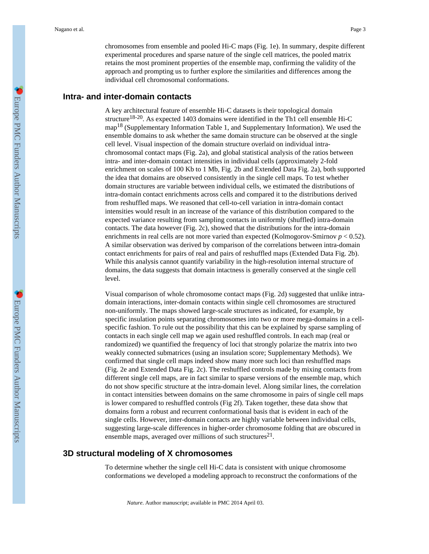chromosomes from ensemble and pooled Hi-C maps (Fig. 1e). In summary, despite different experimental procedures and sparse nature of the single cell matrices, the pooled matrix retains the most prominent properties of the ensemble map, confirming the validity of the approach and prompting us to further explore the similarities and differences among the individual cell chromosomal conformations.

#### **Intra- and inter-domain contacts**

A key architectural feature of ensemble Hi-C datasets is their topological domain structure<sup>18-20</sup>. As expected 1403 domains were identified in the Th1 cell ensemble Hi-C map18 (Supplementary Information Table 1, and Supplementary Information). We used the ensemble domains to ask whether the same domain structure can be observed at the single cell level. Visual inspection of the domain structure overlaid on individual intrachromosomal contact maps (Fig. 2a), and global statistical analysis of the ratios between intra- and inter-domain contact intensities in individual cells (approximately 2-fold enrichment on scales of 100 Kb to 1 Mb, Fig. 2b and Extended Data Fig. 2a), both supported the idea that domains are observed consistently in the single cell maps. To test whether domain structures are variable between individual cells, we estimated the distributions of intra-domain contact enrichments across cells and compared it to the distributions derived from reshuffled maps. We reasoned that cell-to-cell variation in intra-domain contact intensities would result in an increase of the variance of this distribution compared to the expected variance resulting from sampling contacts in uniformly (shuffled) intra-domain contacts. The data however (Fig. 2c), showed that the distributions for the intra-domain enrichments in real cells are not more varied than expected (Kolmogorov-Smirnov  $p < 0.52$ ). A similar observation was derived by comparison of the correlations between intra-domain contact enrichments for pairs of real and pairs of reshuffled maps (Extended Data Fig. 2b). While this analysis cannot quantify variability in the high-resolution internal structure of domains, the data suggests that domain intactness is generally conserved at the single cell level.

Visual comparison of whole chromosome contact maps (Fig. 2d) suggested that unlike intradomain interactions, inter-domain contacts within single cell chromosomes are structured non-uniformly. The maps showed large-scale structures as indicated, for example, by specific insulation points separating chromosomes into two or more mega-domains in a cellspecific fashion. To rule out the possibility that this can be explained by sparse sampling of contacts in each single cell map we again used reshuffled controls. In each map (real or randomized) we quantified the frequency of loci that strongly polarize the matrix into two weakly connected submatrices (using an insulation score; Supplementary Methods). We confirmed that single cell maps indeed show many more such loci than reshuffled maps (Fig. 2e and Extended Data Fig. 2c). The reshuffled controls made by mixing contacts from different single cell maps, are in fact similar to sparse versions of the ensemble map, which do not show specific structure at the intra-domain level. Along similar lines, the correlation in contact intensities between domains on the same chromosome in pairs of single cell maps is lower compared to reshuffled controls (Fig 2f). Taken together, these data show that domains form a robust and recurrent conformational basis that is evident in each of the single cells. However, inter-domain contacts are highly variable between individual cells, suggesting large-scale differences in higher-order chromosome folding that are obscured in ensemble maps, averaged over millions of such structures<sup>21</sup>.

## **3D structural modeling of X chromosomes**

To determine whether the single cell Hi-C data is consistent with unique chromosome conformations we developed a modeling approach to reconstruct the conformations of the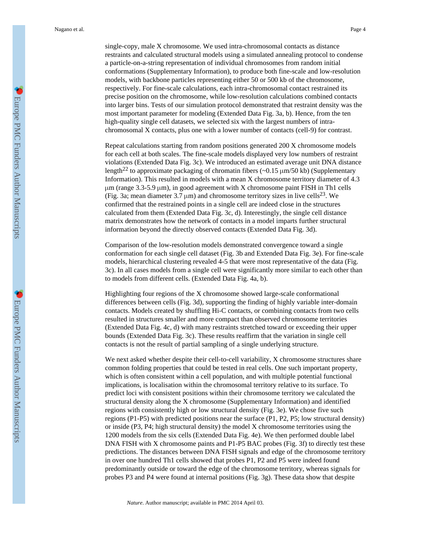single-copy, male X chromosome. We used intra-chromosomal contacts as distance restraints and calculated structural models using a simulated annealing protocol to condense a particle-on-a-string representation of individual chromosomes from random initial conformations (Supplementary Information), to produce both fine-scale and low-resolution models, with backbone particles representing either 50 or 500 kb of the chromosome, respectively. For fine-scale calculations, each intra-chromosomal contact restrained its precise position on the chromosome, while low-resolution calculations combined contacts into larger bins. Tests of our simulation protocol demonstrated that restraint density was the most important parameter for modeling (Extended Data Fig. 3a, b). Hence, from the ten high-quality single cell datasets, we selected six with the largest numbers of intrachromosomal X contacts, plus one with a lower number of contacts (cell-9) for contrast.

Repeat calculations starting from random positions generated 200 X chromosome models for each cell at both scales. The fine-scale models displayed very low numbers of restraint violations (Extended Data Fig. 3c). We introduced an estimated average unit DNA distance length<sup>22</sup> to approximate packaging of chromatin fibers ( $\sim$ 0.15  $\mu$ m/50 kb) (Supplementary Information). This resulted in models with a mean X chromosome territory diameter of 4.3 μm (range 3.3-5.9 μm), in good agreement with X chromosome paint FISH in Th1 cells (Fig. 3a; mean diameter  $3.7 \mu m$ ) and chromosome territory sizes in live cells<sup>23</sup>. We confirmed that the restrained points in a single cell are indeed close in the structures calculated from them (Extended Data Fig. 3c, d). Interestingly, the single cell distance matrix demonstrates how the network of contacts in a model imparts further structural information beyond the directly observed contacts (Extended Data Fig. 3d).

Comparison of the low-resolution models demonstrated convergence toward a single conformation for each single cell dataset (Fig. 3b and Extended Data Fig. 3e). For fine-scale models, hierarchical clustering revealed 4-5 that were most representative of the data (Fig. 3c). In all cases models from a single cell were significantly more similar to each other than to models from different cells. (Extended Data Fig. 4a, b).

Highlighting four regions of the X chromosome showed large-scale conformational differences between cells (Fig. 3d), supporting the finding of highly variable inter-domain contacts. Models created by shuffling Hi-C contacts, or combining contacts from two cells resulted in structures smaller and more compact than observed chromosome territories (Extended Data Fig. 4c, d) with many restraints stretched toward or exceeding their upper bounds (Extended Data Fig. 3c). These results reaffirm that the variation in single cell contacts is not the result of partial sampling of a single underlying structure.

We next asked whether despite their cell-to-cell variability, X chromosome structures share common folding properties that could be tested in real cells. One such important property, which is often consistent within a cell population, and with multiple potential functional implications, is localisation within the chromosomal territory relative to its surface. To predict loci with consistent positions within their chromosome territory we calculated the structural density along the X chromosome (Supplementary Information) and identified regions with consistently high or low structural density (Fig. 3e). We chose five such regions (P1-P5) with predicted positions near the surface (P1, P2, P5; low structural density) or inside (P3, P4; high structural density) the model X chromosome territories using the 1200 models from the six cells (Extended Data Fig. 4e). We then performed double label DNA FISH with X chromosome paints and P1-P5 BAC probes (Fig. 3f) to directly test these predictions. The distances between DNA FISH signals and edge of the chromosome territory in over one hundred Th1 cells showed that probes P1, P2 and P5 were indeed found predominantly outside or toward the edge of the chromosome territory, whereas signals for probes P3 and P4 were found at internal positions (Fig. 3g). These data show that despite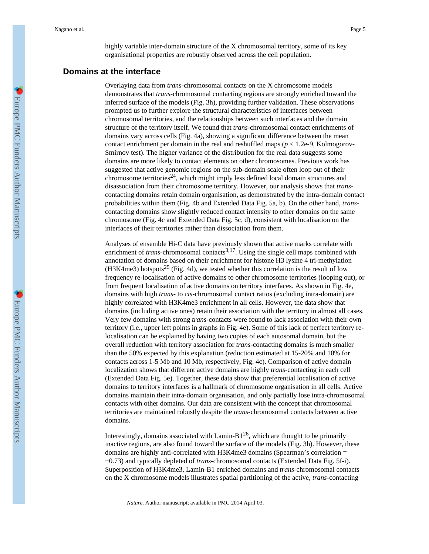highly variable inter-domain structure of the X chromosomal territory, some of its key organisational properties are robustly observed across the cell population.

# **Domains at the interface**

Overlaying data from *trans*-chromosomal contacts on the X chromosome models demonstrates that *trans*-chromosomal contacting regions are strongly enriched toward the inferred surface of the models (Fig. 3h), providing further validation. These observations prompted us to further explore the structural characteristics of interfaces between chromosomal territories, and the relationships between such interfaces and the domain structure of the territory itself. We found that *trans*-chromosomal contact enrichments of domains vary across cells (Fig. 4a), showing a significant difference between the mean contact enrichment per domain in the real and reshuffled maps (*p* < 1.2e-9, Kolmogorov-Smirnov test). The higher variance of the distribution for the real data suggests some domains are more likely to contact elements on other chromosomes. Previous work has suggested that active genomic regions on the sub-domain scale often loop out of their chromosome territories<sup>24</sup>, which might imply less defined local domain structures and disassociation from their chromosome territory. However, our analysis shows that *trans*contacting domains retain domain organisation, as demonstrated by the intra-domain contact probabilities within them (Fig. 4b and Extended Data Fig. 5a, b). On the other hand, *trans*contacting domains show slightly reduced contact intensity to other domains on the same chromosome (Fig. 4c and Extended Data Fig. 5c, d), consistent with localisation on the interfaces of their territories rather than dissociation from them.

Analyses of ensemble Hi-C data have previously shown that active marks correlate with enrichment of *trans*-chromosomal contacts<sup>3,17</sup>. Using the single cell maps combined with annotation of domains based on their enrichment for histone H3 lysine 4 tri-methylation  $(H3K4me3)$  hotspots<sup>25</sup> (Fig. 4d), we tested whether this correlation is the result of low frequency re-localisation of active domains to other chromosome territories (looping out), or from frequent localisation of active domains on territory interfaces. As shown in Fig. 4e, domains with high *trans*- to *cis*-chromosomal contact ratios (excluding intra-domain) are highly correlated with H3K4me3 enrichment in all cells. However, the data show that domains (including active ones) retain their association with the territory in almost all cases. Very few domains with strong *trans*-contacts were found to lack association with their own territory (i.e., upper left points in graphs in Fig. 4e). Some of this lack of perfect territory relocalisation can be explained by having two copies of each autosomal domain, but the overall reduction with territory association for *trans*-contacting domains is much smaller than the 50% expected by this explanation (reduction estimated at 15-20% and 10% for contacts across 1-5 Mb and 10 Mb, respectively, Fig. 4c). Comparison of active domain localization shows that different active domains are highly *trans*-contacting in each cell (Extended Data Fig. 5e). Together, these data show that preferential localisation of active domains to territory interfaces is a hallmark of chromosome organisation in all cells. Active domains maintain their intra-domain organisation, and only partially lose intra-chromosomal contacts with other domains. Our data are consistent with the concept that chromosomal territories are maintained robustly despite the *trans*-chromosomal contacts between active domains.

Interestingly, domains associated with Lamin-B $1^{26}$ , which are thought to be primarily inactive regions, are also found toward the surface of the models (Fig. 3h). However, these domains are highly anti-correlated with H3K4me3 domains (Spearman's correlation = −0.73) and typically depleted of *trans*-chromosomal contacts (Extended Data Fig. 5f-i). Superposition of H3K4me3, Lamin-B1 enriched domains and *trans*-chromosomal contacts on the X chromosome models illustrates spatial partitioning of the active, *trans*-contacting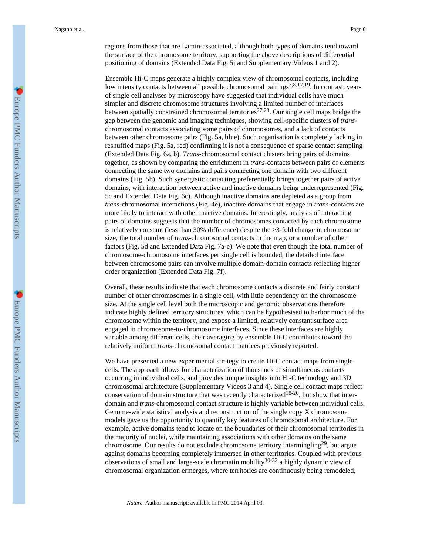regions from those that are Lamin-associated, although both types of domains tend toward the surface of the chromosome territory, supporting the above descriptions of differential positioning of domains (Extended Data Fig. 5j and Supplementary Videos 1 and 2).

Ensemble Hi-C maps generate a highly complex view of chromosomal contacts, including low intensity contacts between all possible chromosomal pairings<sup>3,8,17,19</sup>. In contrast, years of single cell analyses by microscopy have suggested that individual cells have much simpler and discrete chromosome structures involving a limited number of interfaces between spatially constrained chromosomal territories<sup>27,28</sup>. Our single cell maps bridge the gap between the genomic and imaging techniques, showing cell-specific clusters of *trans*chromosomal contacts associating some pairs of chromosomes, and a lack of contacts between other chromosome pairs (Fig. 5a, blue). Such organisation is completely lacking in reshuffled maps (Fig. 5a, red) confirming it is not a consequence of sparse contact sampling (Extended Data Fig. 6a, b). *Trans*-chromosomal contact clusters bring pairs of domains together, as shown by comparing the enrichment in *trans*-contacts between pairs of elements connecting the same two domains and pairs connecting one domain with two different domains (Fig. 5b). Such synergistic contacting preferentially brings together pairs of active domains, with interaction between active and inactive domains being underrepresented (Fig. 5c and Extended Data Fig. 6c). Although inactive domains are depleted as a group from *trans*-chromosomal interactions (Fig. 4e), inactive domains that engage in *trans*-contacts are more likely to interact with other inactive domains. Interestingly, analysis of interacting pairs of domains suggests that the number of chromosomes contacted by each chromosome is relatively constant (less than 30% difference) despite the >3-fold change in chromosome size, the total number of *trans*-chromosomal contacts in the map, or a number of other factors (Fig. 5d and Extended Data Fig. 7a-e). We note that even though the total number of chromosome-chromosome interfaces per single cell is bounded, the detailed interface between chromosome pairs can involve multiple domain-domain contacts reflecting higher order organization (Extended Data Fig. 7f).

Overall, these results indicate that each chromosome contacts a discrete and fairly constant number of other chromosomes in a single cell, with little dependency on the chromosome size. At the single cell level both the microscopic and genomic observations therefore indicate highly defined territory structures, which can be hypothesised to harbor much of the chromosome within the territory, and expose a limited, relatively constant surface area engaged in chromosome-to-chromosome interfaces. Since these interfaces are highly variable among different cells, their averaging by ensemble Hi-C contributes toward the relatively uniform *trans*-chromosomal contact matrices previously reported.

We have presented a new experimental strategy to create Hi-C contact maps from single cells. The approach allows for characterization of thousands of simultaneous contacts occurring in individual cells, and provides unique insights into Hi-C technology and 3D chromosomal architecture (Supplementary Videos 3 and 4). Single cell contact maps reflect conservation of domain structure that was recently characterized<sup>18-20</sup>, but show that interdomain and *trans*-chromosomal contact structure is highly variable between individual cells. Genome-wide statistical analysis and reconstruction of the single copy X chromosome models gave us the opportunity to quantify key features of chromosomal architecture. For example, active domains tend to locate on the boundaries of their chromosomal territories in the majority of nuclei, while maintaining associations with other domains on the same chromosome. Our results do not exclude chromosome territory intermingling<sup>29</sup>, but argue against domains becoming completely immersed in other territories. Coupled with previous observations of small and large-scale chromatin mobility $30-32$  a highly dynamic view of chromosomal organization ermerges, where territories are continuously being remodeled,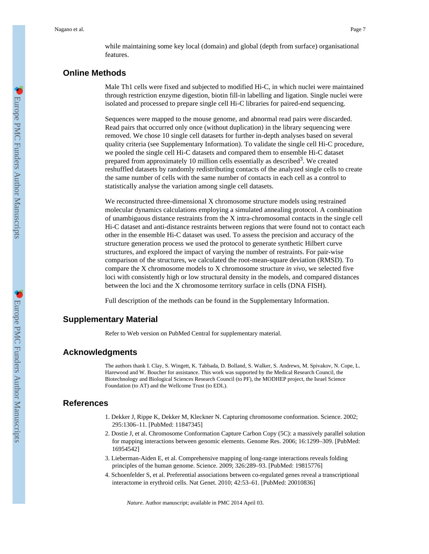while maintaining some key local (domain) and global (depth from surface) organisational features.

# **Online Methods**

Male Th1 cells were fixed and subjected to modified Hi-C, in which nuclei were maintained through restriction enzyme digestion, biotin fill-in labelling and ligation. Single nuclei were isolated and processed to prepare single cell Hi-C libraries for paired-end sequencing.

Sequences were mapped to the mouse genome, and abnormal read pairs were discarded. Read pairs that occurred only once (without duplication) in the library sequencing were removed. We chose 10 single cell datasets for further in-depth analyses based on several quality criteria (see Supplementary Information). To validate the single cell Hi-C procedure, we pooled the single cell Hi-C datasets and compared them to ensemble Hi-C dataset prepared from approximately 10 million cells essentially as described<sup>3</sup>. We created reshuffled datasets by randomly redistributing contacts of the analyzed single cells to create the same number of cells with the same number of contacts in each cell as a control to statistically analyse the variation among single cell datasets.

We reconstructed three-dimensional X chromosome structure models using restrained molecular dynamics calculations employing a simulated annealing protocol. A combination of unambiguous distance restraints from the X intra-chromosomal contacts in the single cell Hi-C dataset and anti-distance restraints between regions that were found not to contact each other in the ensemble Hi-C dataset was used. To assess the precision and accuracy of the structure generation process we used the protocol to generate synthetic Hilbert curve structures, and explored the impact of varying the number of restraints. For pair-wise comparison of the structures, we calculated the root-mean-square deviation (RMSD). To compare the X chromosome models to X chromosome structure *in vivo*, we selected five loci with consistently high or low structural density in the models, and compared distances between the loci and the X chromosome territory surface in cells (DNA FISH).

Full description of the methods can be found in the Supplementary Information.

## **Supplementary Material**

Refer to Web version on PubMed Central for supplementary material.

#### **Acknowledgments**

The authors thank I. Clay, S. Wingett, K. Tabbada, D. Bolland, S. Walker, S. Andrews, M. Spivakov, N. Cope, L. Harewood and W. Boucher for assistance. This work was supported by the Medical Research Council, the Biotechnology and Biological Sciences Research Council (to PF), the MODHEP project, the Israel Science Foundation (to AT) and the Wellcome Trust (to EDL).

## **References**

- 1. Dekker J, Rippe K, Dekker M, Kleckner N. Capturing chromosome conformation. Science. 2002; 295:1306–11. [PubMed: 11847345]
- 2. Dostie J, et al. Chromosome Conformation Capture Carbon Copy (5C): a massively parallel solution for mapping interactions between genomic elements. Genome Res. 2006; 16:1299–309. [PubMed: 16954542]
- 3. Lieberman-Aiden E, et al. Comprehensive mapping of long-range interactions reveals folding principles of the human genome. Science. 2009; 326:289–93. [PubMed: 19815776]
- 4. Schoenfelder S, et al. Preferential associations between co-regulated genes reveal a transcriptional interactome in erythroid cells. Nat Genet. 2010; 42:53–61. [PubMed: 20010836]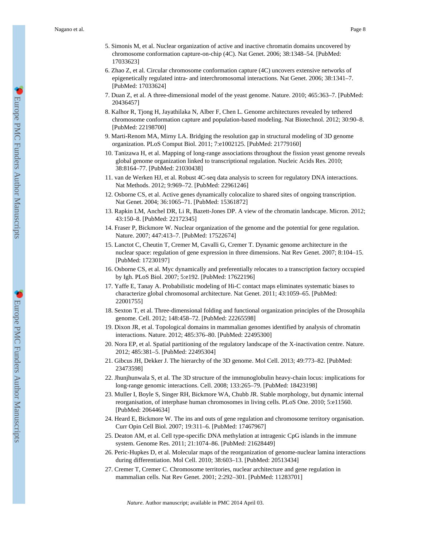- 5. Simonis M, et al. Nuclear organization of active and inactive chromatin domains uncovered by chromosome conformation capture-on-chip (4C). Nat Genet. 2006; 38:1348–54. [PubMed: 17033623]
- 6. Zhao Z, et al. Circular chromosome conformation capture (4C) uncovers extensive networks of epigenetically regulated intra- and interchromosomal interactions. Nat Genet. 2006; 38:1341–7. [PubMed: 17033624]
- 7. Duan Z, et al. A three-dimensional model of the yeast genome. Nature. 2010; 465:363–7. [PubMed: 20436457]
- 8. Kalhor R, Tjong H, Jayathilaka N, Alber F, Chen L. Genome architectures revealed by tethered chromosome conformation capture and population-based modeling. Nat Biotechnol. 2012; 30:90–8. [PubMed: 22198700]
- 9. Marti-Renom MA, Mirny LA. Bridging the resolution gap in structural modeling of 3D genome organization. PLoS Comput Biol. 2011; 7:e1002125. [PubMed: 21779160]
- 10. Tanizawa H, et al. Mapping of long-range associations throughout the fission yeast genome reveals global genome organization linked to transcriptional regulation. Nucleic Acids Res. 2010; 38:8164–77. [PubMed: 21030438]
- 11. van de Werken HJ, et al. Robust 4C-seq data analysis to screen for regulatory DNA interactions. Nat Methods. 2012; 9:969–72. [PubMed: 22961246]
- 12. Osborne CS, et al. Active genes dynamically colocalize to shared sites of ongoing transcription. Nat Genet. 2004; 36:1065–71. [PubMed: 15361872]
- 13. Rapkin LM, Anchel DR, Li R, Bazett-Jones DP. A view of the chromatin landscape. Micron. 2012; 43:150–8. [PubMed: 22172345]
- 14. Fraser P, Bickmore W. Nuclear organization of the genome and the potential for gene regulation. Nature. 2007; 447:413–7. [PubMed: 17522674]
- 15. Lanctot C, Cheutin T, Cremer M, Cavalli G, Cremer T. Dynamic genome architecture in the nuclear space: regulation of gene expression in three dimensions. Nat Rev Genet. 2007; 8:104–15. [PubMed: 17230197]
- 16. Osborne CS, et al. Myc dynamically and preferentially relocates to a transcription factory occupied by Igh. PLoS Biol. 2007; 5:e192. [PubMed: 17622196]
- 17. Yaffe E, Tanay A. Probabilistic modeling of Hi-C contact maps eliminates systematic biases to characterize global chromosomal architecture. Nat Genet. 2011; 43:1059–65. [PubMed: 22001755]
- 18. Sexton T, et al. Three-dimensional folding and functional organization principles of the Drosophila genome. Cell. 2012; 148:458–72. [PubMed: 22265598]
- 19. Dixon JR, et al. Topological domains in mammalian genomes identified by analysis of chromatin interactions. Nature. 2012; 485:376–80. [PubMed: 22495300]
- 20. Nora EP, et al. Spatial partitioning of the regulatory landscape of the X-inactivation centre. Nature. 2012; 485:381–5. [PubMed: 22495304]
- 21. Gibcus JH, Dekker J. The hierarchy of the 3D genome. Mol Cell. 2013; 49:773–82. [PubMed: 23473598]
- 22. Jhunjhunwala S, et al. The 3D structure of the immunoglobulin heavy-chain locus: implications for long-range genomic interactions. Cell. 2008; 133:265–79. [PubMed: 18423198]
- 23. Muller I, Boyle S, Singer RH, Bickmore WA, Chubb JR. Stable morphology, but dynamic internal reorganisation, of interphase human chromosomes in living cells. PLoS One. 2010; 5:e11560. [PubMed: 20644634]
- 24. Heard E, Bickmore W. The ins and outs of gene regulation and chromosome territory organisation. Curr Opin Cell Biol. 2007; 19:311–6. [PubMed: 17467967]
- 25. Deaton AM, et al. Cell type-specific DNA methylation at intragenic CpG islands in the immune system. Genome Res. 2011; 21:1074–86. [PubMed: 21628449]
- 26. Peric-Hupkes D, et al. Molecular maps of the reorganization of genome-nuclear lamina interactions during differentiation. Mol Cell. 2010; 38:603–13. [PubMed: 20513434]
- 27. Cremer T, Cremer C. Chromosome territories, nuclear architecture and gene regulation in mammalian cells. Nat Rev Genet. 2001; 2:292–301. [PubMed: 11283701]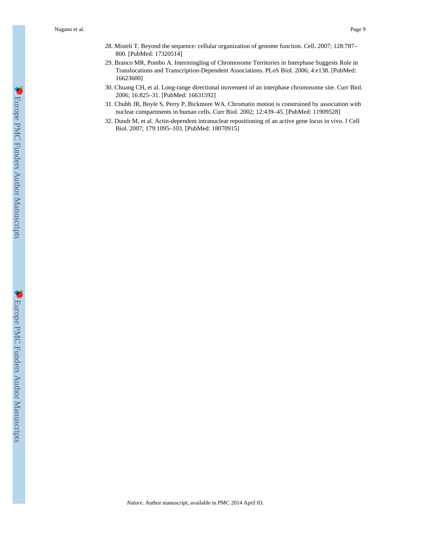- 28. Misteli T. Beyond the sequence: cellular organization of genome function. Cell. 2007; 128:787– 800. [PubMed: 17320514]
- 29. Branco MR, Pombo A. Intermingling of Chromosome Territories in Interphase Suggests Role in Translocations and Transcription-Dependent Associations. PLoS Biol. 2006; 4:e138. [PubMed: 16623600]
- 30. Chuang CH, et al. Long-range directional movement of an interphase chromosome site. Curr Biol. 2006; 16:825–31. [PubMed: 16631592]
- 31. Chubb JR, Boyle S, Perry P, Bickmore WA. Chromatin motion is constrained by association with nuclear compartments in human cells. Curr Biol. 2002; 12:439–45. [PubMed: 11909528]
- 32. Dundr M, et al. Actin-dependent intranuclear repositioning of an active gene locus in vivo. J Cell Biol. 2007; 179:1095–103. [PubMed: 18070915]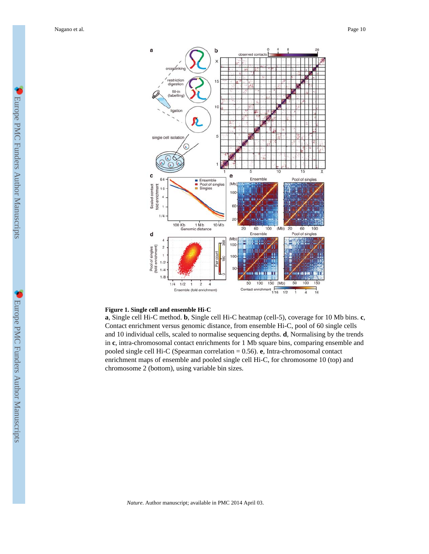

#### **Figure 1. Single cell and ensemble Hi-C**

**a**, Single cell Hi-C method. **b**, Single cell Hi-C heatmap (cell-5), coverage for 10 Mb bins. **c**, Contact enrichment versus genomic distance, from ensemble Hi-C, pool of 60 single cells and 10 individual cells, scaled to normalise sequencing depths. **d**, Normalising by the trends in **c**, intra-chromosomal contact enrichments for 1 Mb square bins, comparing ensemble and pooled single cell Hi-C (Spearman correlation = 0.56). **e**, Intra-chromosomal contact enrichment maps of ensemble and pooled single cell Hi-C, for chromosome 10 (top) and chromosome 2 (bottom), using variable bin sizes.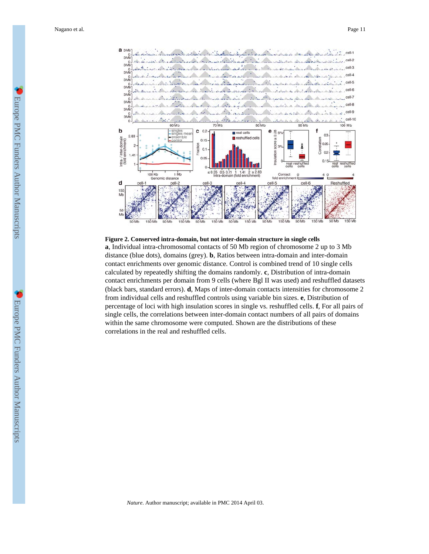

#### **Figure 2. Conserved intra-domain, but not inter-domain structure in single cells**

**a**, Individual intra-chromosomal contacts of 50 Mb region of chromosome 2 up to 3 Mb distance (blue dots), domains (grey). **b**, Ratios between intra-domain and inter-domain contact enrichments over genomic distance. Control is combined trend of 10 single cells calculated by repeatedly shifting the domains randomly. **c**, Distribution of intra-domain contact enrichments per domain from 9 cells (where Bgl II was used) and reshuffled datasets (black bars, standard errors). **d**, Maps of inter-domain contacts intensities for chromosome 2 from individual cells and reshuffled controls using variable bin sizes. **e**, Distribution of percentage of loci with high insulation scores in single vs. reshuffled cells. **f**, For all pairs of single cells, the correlations between inter-domain contact numbers of all pairs of domains within the same chromosome were computed. Shown are the distributions of these correlations in the real and reshuffled cells.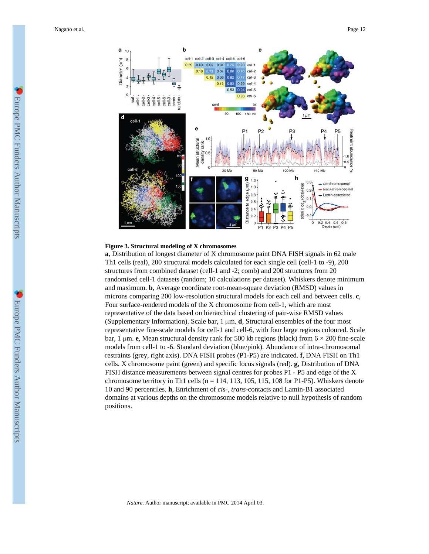

#### **Figure 3. Structural modeling of X chromosomes**

**a**, Distribution of longest diameter of X chromosome paint DNA FISH signals in 62 male Th1 cells (real), 200 structural models calculated for each single cell (cell-1 to -9), 200 structures from combined dataset (cell-1 and -2; comb) and 200 structures from 20 randomised cell-1 datasets (random; 10 calculations per dataset). Whiskers denote minimum and maximum. **b**, Average coordinate root-mean-square deviation (RMSD) values in microns comparing 200 low-resolution structural models for each cell and between cells. **c**, Four surface-rendered models of the X chromosome from cell-1, which are most representative of the data based on hierarchical clustering of pair-wise RMSD values (Supplementary Information). Scale bar,  $1 \mu m$ . **d**, Structural ensembles of the four most representative fine-scale models for cell-1 and cell-6, with four large regions coloured. Scale bar, 1 μm. **e**, Mean structural density rank for 500 kb regions (black) from 6 × 200 fine-scale models from cell-1 to -6. Standard deviation (blue/pink). Abundance of intra-chromosomal restraints (grey, right axis). DNA FISH probes (P1-P5) are indicated. **f**, DNA FISH on Th1 cells. X chromosome paint (green) and specific locus signals (red). **g**, Distribution of DNA FISH distance measurements between signal centres for probes P1 - P5 and edge of the X chromosome territory in Th1 cells ( $n = 114$ , 113, 105, 115, 108 for P1-P5). Whiskers denote 10 and 90 percentiles. **h**, Enrichment of *cis*-, *trans*-contacts and Lamin-B1 associated domains at various depths on the chromosome models relative to null hypothesis of random positions.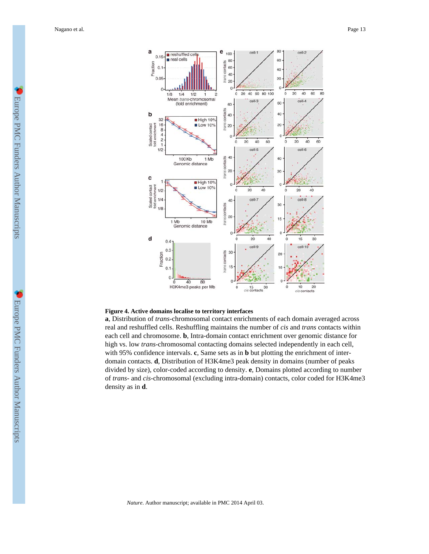

#### **Figure 4. Active domains localise to territory interfaces**

**a**, Distribution of *trans*-chromosomal contact enrichments of each domain averaged across real and reshuffled cells. Reshuffling maintains the number of *cis* and *trans* contacts within each cell and chromosome. **b**, Intra-domain contact enrichment over genomic distance for high vs. low *trans*-chromosomal contacting domains selected independently in each cell, with 95% confidence intervals. **c**, Same sets as in **b** but plotting the enrichment of interdomain contacts. **d**, Distribution of H3K4me3 peak density in domains (number of peaks divided by size), color-coded according to density. **e**, Domains plotted according to number of *trans*- and *cis*-chromosomal (excluding intra-domain) contacts, color coded for H3K4me3 density as in **d**.